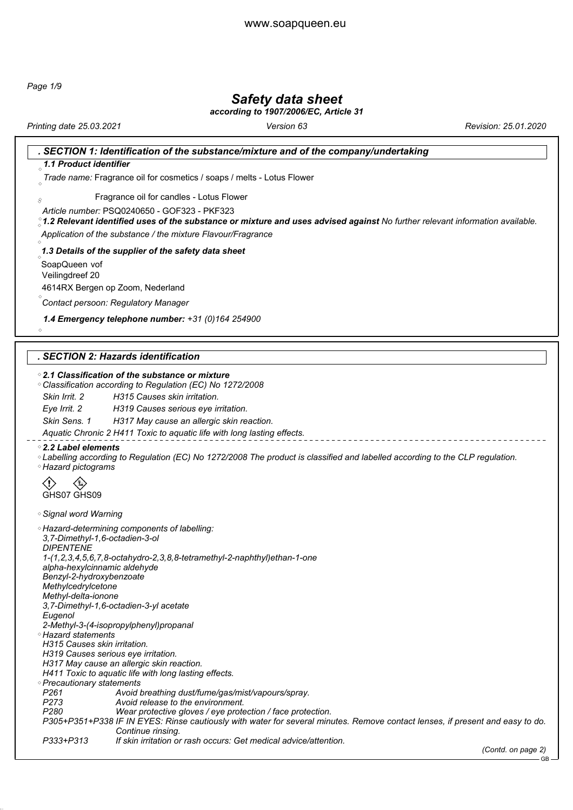*Page 1/9*

### *Safety data sheet*

*according to 1907/2006/EC, Article 31*

*Printing date 25.03.2021 Version 63 Revision: 25.01.2020*

|                                                           | SECTION 1: Identification of the substance/mixture and of the company/undertaking                                                                                                            |
|-----------------------------------------------------------|----------------------------------------------------------------------------------------------------------------------------------------------------------------------------------------------|
| $\alpha$ 1.1 Product identifier                           |                                                                                                                                                                                              |
|                                                           | Trade name: Fragrance oil for cosmetics / soaps / melts - Lotus Flower                                                                                                                       |
| 8                                                         | Fragrance oil for candles - Lotus Flower                                                                                                                                                     |
|                                                           | Article number: PSQ0240650 - GOF323 - PKF323<br>$^{\circ}_\sim$ 1.2 Relevant identified uses of the substance or mixture and uses advised against No further relevant information available. |
|                                                           | Application of the substance / the mixture Flavour/Fragrance                                                                                                                                 |
|                                                           | 1.3 Details of the supplier of the safety data sheet                                                                                                                                         |
| SoapQueen vof                                             |                                                                                                                                                                                              |
| Veilingdreef 20                                           |                                                                                                                                                                                              |
|                                                           | 4614RX Bergen op Zoom, Nederland                                                                                                                                                             |
|                                                           | Contact persoon: Regulatory Manager                                                                                                                                                          |
|                                                           | 1.4 Emergency telephone number: +31 (0)164 254900                                                                                                                                            |
| $\Diamond$                                                |                                                                                                                                                                                              |
|                                                           |                                                                                                                                                                                              |
|                                                           | . SECTION 2: Hazards identification                                                                                                                                                          |
|                                                           | $^{\circ}$ 2.1 Classification of the substance or mixture                                                                                                                                    |
|                                                           | ○ Classification according to Regulation (EC) No 1272/2008                                                                                                                                   |
| Skin Irrit, 2                                             | H315 Causes skin irritation.                                                                                                                                                                 |
| Eye Irrit. 2                                              | H319 Causes serious eye irritation.                                                                                                                                                          |
| Skin Sens. 1                                              | H317 May cause an allergic skin reaction.                                                                                                                                                    |
|                                                           | Aquatic Chronic 2 H411 Toxic to aquatic life with long lasting effects.                                                                                                                      |
| $\degree$ 2.2 Label elements<br>◦ Hazard pictograms       | ◦Labelling according to Regulation (EC) No 1272/2008 The product is classified and labelled according to the CLP regulation.                                                                 |
|                                                           |                                                                                                                                                                                              |
| GHS07 GHS09                                               |                                                                                                                                                                                              |
| ◇ Signal word Warning                                     |                                                                                                                                                                                              |
|                                                           | ◇ Hazard-determining components of labelling:                                                                                                                                                |
| 3,7-Dimethyl-1,6-octadien-3-ol<br><i><b>DIPENTENE</b></i> |                                                                                                                                                                                              |
|                                                           | 1-(1,2,3,4,5,6,7,8-octahydro-2,3,8,8-tetramethyl-2-naphthyl)ethan-1-one                                                                                                                      |
| alpha-hexylcinnamic aldehyde                              |                                                                                                                                                                                              |
| Benzyl-2-hydroxybenzoate                                  |                                                                                                                                                                                              |
| Methylcedrylcetone                                        |                                                                                                                                                                                              |
| Methyl-delta-ionone                                       | 3,7-Dimethyl-1,6-octadien-3-yl acetate                                                                                                                                                       |
| Eugenol                                                   |                                                                                                                                                                                              |
|                                                           | 2-Methyl-3-(4-isopropylphenyl)propanal                                                                                                                                                       |
| ◇ Hazard statements                                       |                                                                                                                                                                                              |
| H315 Causes skin irritation.                              |                                                                                                                                                                                              |
|                                                           | H319 Causes serious eye irritation.                                                                                                                                                          |
|                                                           | H317 May cause an allergic skin reaction.<br>H411 Toxic to aquatic life with long lasting effects.                                                                                           |
| ◦ Precautionary statements                                |                                                                                                                                                                                              |
| P <sub>261</sub>                                          | Avoid breathing dust/fume/gas/mist/vapours/spray.                                                                                                                                            |
| P <sub>273</sub>                                          | Avoid release to the environment.                                                                                                                                                            |
| P280                                                      | Wear protective gloves / eye protection / face protection.                                                                                                                                   |
|                                                           | P305+P351+P338 IF IN EYES: Rinse cautiously with water for several minutes. Remove contact lenses, if present and easy to do.                                                                |
| P333+P313                                                 | Continue rinsing.<br>If skin irritation or rash occurs: Get medical advice/attention.                                                                                                        |
|                                                           | (Contd. on page 2)                                                                                                                                                                           |
|                                                           | $GB -$                                                                                                                                                                                       |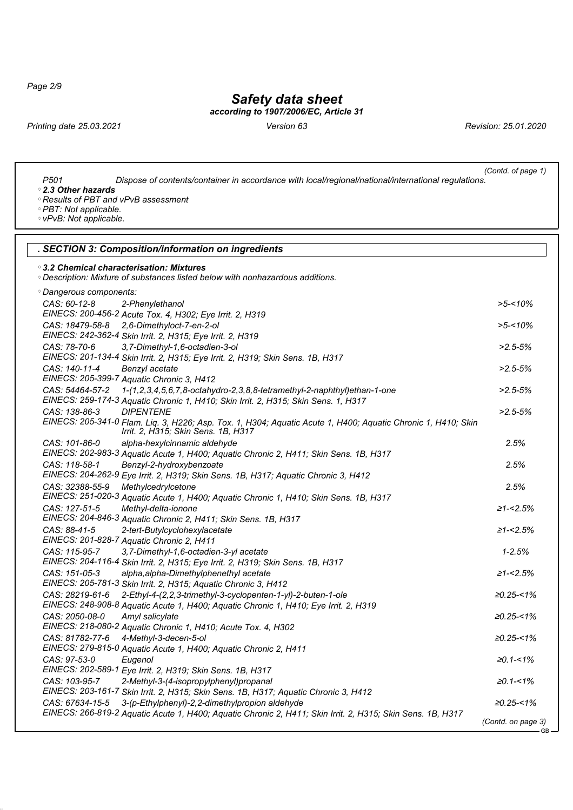*Page 2/9*

### *Safety data sheet*

*according to 1907/2006/EC, Article 31*

*Printing date 25.03.2021 Version 63 Revision: 25.01.2020*

| (Contd. of page 1)<br>P <sub>501</sub><br>Dispose of contents/container in accordance with local/regional/national/international regulations.<br>◦2.3 Other hazards<br>◦ Results of PBT and vPvB assessment<br>◇ PBT: Not applicable.<br>◇ vPvB: Not applicable. |                   |  |  |
|------------------------------------------------------------------------------------------------------------------------------------------------------------------------------------------------------------------------------------------------------------------|-------------------|--|--|
| . SECTION 3: Composition/information on ingredients                                                                                                                                                                                                              |                   |  |  |
| $^{\circ}$ 3.2 Chemical characterisation: Mixtures<br><i><b>Oescription: Mixture of substances listed below with nonhazardous additions.</b></i>                                                                                                                 |                   |  |  |
| <i><b>Oangerous components:</b></i>                                                                                                                                                                                                                              |                   |  |  |
| CAS: 60-12-8<br>2-Phenylethanol                                                                                                                                                                                                                                  | $>5 - 10\%$       |  |  |
| EINECS: 200-456-2 Acute Tox. 4, H302; Eye Irrit. 2, H319                                                                                                                                                                                                         |                   |  |  |
| CAS: 18479-58-8                                                                                                                                                                                                                                                  |                   |  |  |
| 2,6-Dimethyloct-7-en-2-ol<br>EINECS: 242-362-4 Skin Irrit. 2, H315; Eye Irrit. 2, H319                                                                                                                                                                           | $>5 - 10\%$       |  |  |
| CAS: 78-70-6                                                                                                                                                                                                                                                     |                   |  |  |
| 3,7-Dimethyl-1,6-octadien-3-ol                                                                                                                                                                                                                                   | $>2.5 - 5%$       |  |  |
| EINECS: 201-134-4 Skin Irrit. 2, H315; Eye Irrit. 2, H319; Skin Sens. 1B, H317<br>CAS: 140-11-4                                                                                                                                                                  |                   |  |  |
| Benzyl acetate                                                                                                                                                                                                                                                   | $>2.5 - 5%$       |  |  |
| EINECS: 205-399-7 Aquatic Chronic 3, H412<br>CAS: 54464-57-2                                                                                                                                                                                                     |                   |  |  |
| 1-(1,2,3,4,5,6,7,8-octahydro-2,3,8,8-tetramethyl-2-naphthyl)ethan-1-one                                                                                                                                                                                          | $>2.5 - 5%$       |  |  |
| EINECS: 259-174-3 Aquatic Chronic 1, H410; Skin Irrit. 2, H315; Skin Sens. 1, H317                                                                                                                                                                               |                   |  |  |
| CAS: 138-86-3<br><b>DIPENTENE</b>                                                                                                                                                                                                                                | $>2.5 - 5%$       |  |  |
| EINECS: 205-341-0 Flam. Liq. 3, H226; Asp. Tox. 1, H304; Aquatic Acute 1, H400; Aquatic Chronic 1, H410; Skin<br>Irrit. 2, H315; Skin Sens. 1B, H317                                                                                                             |                   |  |  |
|                                                                                                                                                                                                                                                                  |                   |  |  |
| CAS: 101-86-0<br>alpha-hexylcinnamic aldehyde                                                                                                                                                                                                                    | 2.5%              |  |  |
| EINECS: 202-983-3 Aquatic Acute 1, H400; Aquatic Chronic 2, H411; Skin Sens. 1B, H317                                                                                                                                                                            |                   |  |  |
| CAS: 118-58-1<br>Benzyl-2-hydroxybenzoate                                                                                                                                                                                                                        | 2.5%              |  |  |
| EINECS: 204-262-9 Eye Irrit. 2, H319; Skin Sens. 1B, H317; Aquatic Chronic 3, H412                                                                                                                                                                               |                   |  |  |
| CAS: 32388-55-9<br>Methylcedrylcetone                                                                                                                                                                                                                            | 2.5%              |  |  |
| EINECS: 251-020-3 Aquatic Acute 1, H400; Aquatic Chronic 1, H410; Skin Sens. 1B, H317                                                                                                                                                                            |                   |  |  |
| CAS: 127-51-5<br>Methyl-delta-ionone                                                                                                                                                                                                                             | $\geq 1 - 2.5\%$  |  |  |
| EINECS: 204-846-3 Aquatic Chronic 2, H411; Skin Sens. 1B, H317                                                                                                                                                                                                   |                   |  |  |
| CAS: 88-41-5<br>2-tert-Butylcyclohexylacetate                                                                                                                                                                                                                    | ≥1-<2.5%          |  |  |
| EINECS: 201-828-7 Aquatic Chronic 2, H411                                                                                                                                                                                                                        |                   |  |  |
| CAS: 115-95-7<br>3,7-Dimethyl-1,6-octadien-3-yl acetate                                                                                                                                                                                                          | $1 - 2.5%$        |  |  |
| EINECS: 204-116-4 Skin Irrit. 2, H315; Eye Irrit. 2, H319; Skin Sens. 1B, H317                                                                                                                                                                                   |                   |  |  |
| CAS: 151-05-3<br>alpha, alpha-Dimethylphenethyl acetate                                                                                                                                                                                                          | ≥1-<2.5%          |  |  |
| EINECS: 205-781-3 Skin Irrit. 2, H315; Aquatic Chronic 3, H412                                                                                                                                                                                                   |                   |  |  |
| CAS: 28219-61-6<br>2-Ethyl-4-(2,2,3-trimethyl-3-cyclopenten-1-yl)-2-buten-1-ole                                                                                                                                                                                  | $20.25 - 1\%$     |  |  |
| EINECS: 248-908-8 Aquatic Acute 1, H400; Aquatic Chronic 1, H410; Eye Irrit. 2, H319                                                                                                                                                                             |                   |  |  |
| CAS: 2050-08-0<br>Amyl salicylate                                                                                                                                                                                                                                | $\geq 0.25 - 1\%$ |  |  |
| EINECS: 218-080-2 Aquatic Chronic 1, H410; Acute Tox. 4, H302                                                                                                                                                                                                    |                   |  |  |
| 4-Methyl-3-decen-5-ol<br>CAS: 81782-77-6                                                                                                                                                                                                                         | $\geq 0.25 < 1\%$ |  |  |
| EINECS: 279-815-0 Aquatic Acute 1, H400; Aquatic Chronic 2, H411                                                                                                                                                                                                 |                   |  |  |
| Eugenol<br>CAS: 97-53-0                                                                                                                                                                                                                                          | $\ge 0.1 - 1\%$   |  |  |
| EINECS: 202-589-1 Eye Irrit. 2, H319; Skin Sens. 1B, H317                                                                                                                                                                                                        |                   |  |  |
| CAS: 103-95-7<br>2-Methyl-3-(4-isopropylphenyl)propanal                                                                                                                                                                                                          | $\ge 0.1 - 1\%$   |  |  |
| EINECS: 203-161-7 Skin Irrit. 2, H315; Skin Sens. 1B, H317; Aquatic Chronic 3, H412                                                                                                                                                                              |                   |  |  |
| CAS: 67634-15-5<br>3-(p-Ethylphenyl)-2,2-dimethylpropion aldehyde                                                                                                                                                                                                | $\geq 0.25 - 1\%$ |  |  |
| EINECS: 266-819-2 Aquatic Acute 1, H400; Aquatic Chronic 2, H411; Skin Irrit. 2, H315; Skin Sens. 1B, H317                                                                                                                                                       |                   |  |  |

*(Contd. on page 3)* GB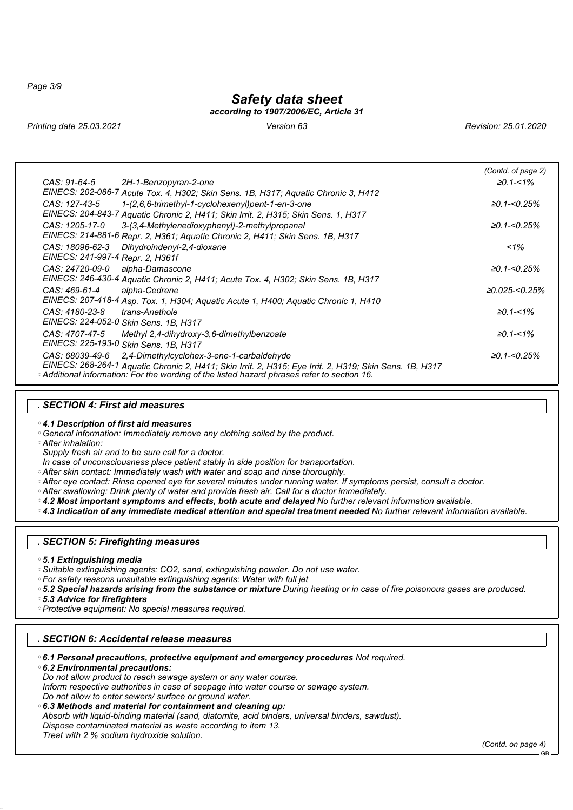*Page 3/9*

### *Safety data sheet*

*according to 1907/2006/EC, Article 31*

*Printing date 25.03.2021 Version 63 Revision: 25.01.2020*

|                                                                                                         | (Contd. of page 2) |
|---------------------------------------------------------------------------------------------------------|--------------------|
| CAS: 91-64-5<br>2H-1-Benzopyran-2-one                                                                   | $\geq 0.1 - 1\%$   |
| EINECS: 202-086-7 Acute Tox. 4, H302; Skin Sens. 1B, H317; Aquatic Chronic 3, H412                      |                    |
| 1-(2,6,6-trimethyl-1-cyclohexenyl)pent-1-en-3-one<br>CAS: 127-43-5                                      | ≥0.1-<0.25%        |
| EINECS: 204-843-7 Aquatic Chronic 2, H411; Skin Irrit. 2, H315; Skin Sens. 1, H317                      |                    |
| 3-(3.4-Methylenedioxyphenyl)-2-methylpropanal<br>CAS: 1205-17-0                                         | ≥0.1-<0.25%        |
| EINECS: 214-881-6 Repr. 2, H361; Aquatic Chronic 2, H411; Skin Sens. 1B, H317                           |                    |
| Dihydroindenyl-2,4-dioxane<br>CAS: 18096-62-3                                                           | $1\%$              |
| EINECS: 241-997-4 Repr. 2, H361f                                                                        |                    |
| CAS: 24720-09-0<br>alpha-Damascone                                                                      | ≥0.1-<0.25%        |
| EINECS: 246-430-4 Aquatic Chronic 2, H411; Acute Tox. 4, H302; Skin Sens. 1B, H317                      |                    |
| alpha-Cedrene<br>CAS: 469-61-4                                                                          | ≥0.025-<0.25%      |
| EINECS: 207-418-4 Asp. Tox. 1, H304; Aquatic Acute 1, H400; Aquatic Chronic 1, H410                     |                    |
| trans-Anethole<br>CAS: 4180-23-8                                                                        | $\geq 0.1 - 1\%$   |
| EINECS: 224-052-0 Skin Sens. 1B, H317                                                                   |                    |
| CAS: 4707-47-5<br>Methyl 2,4-dihydroxy-3,6-dimethylbenzoate                                             | $\geq 0.1 - 1\%$   |
| EINECS: 225-193-0 Skin Sens. 1B, H317                                                                   |                    |
| CAS: 68039-49-6<br>2.4-Dimethylcyclohex-3-ene-1-carbaldehyde                                            | ≥0.1-<0.25%        |
| EINECS: 268-264-1 Aquatic Chronic 2, H411; Skin Irrit. 2, H315; Eye Irrit. 2, H319; Skin Sens. 1B, H317 |                    |
| ◇ Additional information: For the wording of the listed hazard phrases refer to section 16.             |                    |

#### *. SECTION 4: First aid measures*

*4.1 Description of first aid measures*

*General information: Immediately remove any clothing soiled by the product.*

*After inhalation:*

*Supply fresh air and to be sure call for a doctor.*

- *In case of unconsciousness place patient stably in side position for transportation.*
- *After skin contact: Immediately wash with water and soap and rinse thoroughly.*
- *After eye contact: Rinse opened eye for several minutes under running water. If symptoms persist, consult a doctor.*
- *After swallowing: Drink plenty of water and provide fresh air. Call for a doctor immediately.*

*4.2 Most important symptoms and effects, both acute and delayed No further relevant information available.*

*4.3 Indication of any immediate medical attention and special treatment needed No further relevant information available.*

#### *. SECTION 5: Firefighting measures*

- *5.1 Extinguishing media*
- *Suitable extinguishing agents: CO2, sand, extinguishing powder. Do not use water.*
- *For safety reasons unsuitable extinguishing agents: Water with full jet*
- *5.2 Special hazards arising from the substance or mixture During heating or in case of fire poisonous gases are produced.*

*5.3 Advice for firefighters*

*Protective equipment: No special measures required.*

### *. SECTION 6: Accidental release measures*

- *6.1 Personal precautions, protective equipment and emergency procedures Not required.*
- *6.2 Environmental precautions:*

*Do not allow product to reach sewage system or any water course.*

*Inform respective authorities in case of seepage into water course or sewage system. Do not allow to enter sewers/ surface or ground water.*

- 
- *6.3 Methods and material for containment and cleaning up: Absorb with liquid-binding material (sand, diatomite, acid binders, universal binders, sawdust). Dispose contaminated material as waste according to item 13. Treat with 2 % sodium hydroxide solution.*

*(Contd. on page 4)*

GB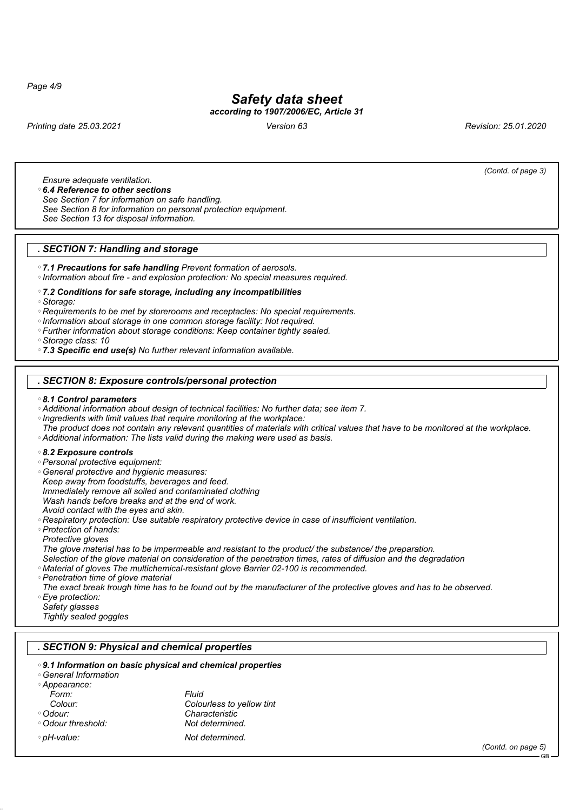*Page 4/9*

## *Safety data sheet*

### *according to 1907/2006/EC, Article 31*

*Printing date 25.03.2021 Version 63 Revision: 25.01.2020*

*(Contd. of page 3)*

*Ensure adequate ventilation.*

*6.4 Reference to other sections*

*See Section 7 for information on safe handling.*

*See Section 8 for information on personal protection equipment.*

*See Section 13 for disposal information.*

#### *. SECTION 7: Handling and storage*

*7.1 Precautions for safe handling Prevent formation of aerosols.*

*Information about fire - and explosion protection: No special measures required.*

#### *7.2 Conditions for safe storage, including any incompatibilities*

*Storage:*

*Requirements to be met by storerooms and receptacles: No special requirements.*

*Information about storage in one common storage facility: Not required.*

*Further information about storage conditions: Keep container tightly sealed.*

*Storage class: 10*

*7.3 Specific end use(s) No further relevant information available.*

#### *. SECTION 8: Exposure controls/personal protection*

#### *8.1 Control parameters*

*Additional information about design of technical facilities: No further data; see item 7.*

*Ingredients with limit values that require monitoring at the workplace:*

*The product does not contain any relevant quantities of materials with critical values that have to be monitored at the workplace. Additional information: The lists valid during the making were used as basis.*

#### *8.2 Exposure controls*

*Personal protective equipment:*

 *General protective and hygienic measures: Keep away from foodstuffs, beverages and feed. Immediately remove all soiled and contaminated clothing Wash hands before breaks and at the end of work. Avoid contact with the eyes and skin.*

*Respiratory protection: Use suitable respiratory protective device in case of insufficient ventilation.*

 *Protection of hands: Protective gloves*

*The glove material has to be impermeable and resistant to the product/ the substance/ the preparation.*

*Selection of the glove material on consideration of the penetration times, rates of diffusion and the degradation*

*Material of gloves The multichemical-resistant glove Barrier 02-100 is recommended.*

*Penetration time of glove material*

*The exact break trough time has to be found out by the manufacturer of the protective gloves and has to be observed. Eye protection:*

*Safety glasses*

*Tightly sealed goggles*

#### *. SECTION 9: Physical and chemical properties*

#### *9.1 Information on basic physical and chemical properties*

#### *General Information Appearance:*

| Form:              | Fluid                     |
|--------------------|---------------------------|
| Colour:            | Colourless to yellow tint |
| ◇ Odour:           | Characteristic            |
| ◇ Odour threshold: | Not determined.           |
| ◇ pH-value:        | Not determined.           |

*(Contd. on page 5)*

GB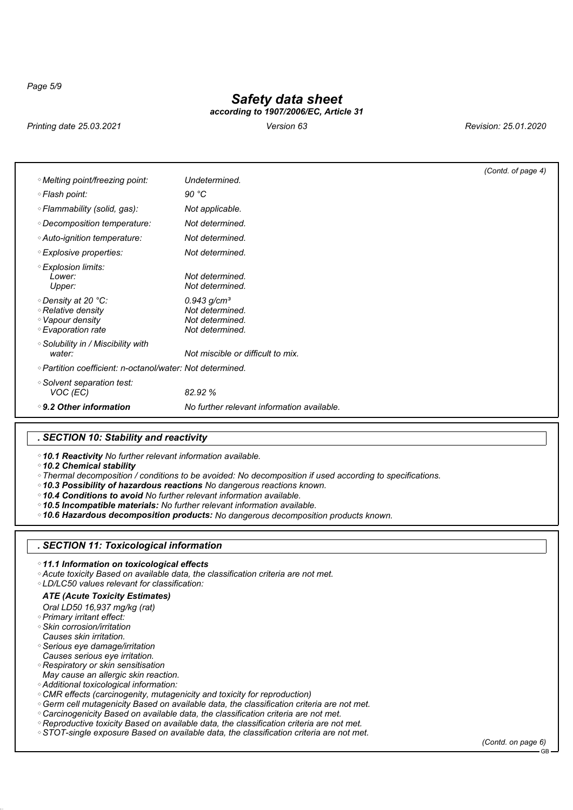*Page 5/9*

# *Safety data sheet*

*according to 1907/2006/EC, Article 31*

*Printing date 25.03.2021 Version 63 Revision: 25.01.2020*

|                                                                                    |                                                                           | (Contd. of page 4) |
|------------------------------------------------------------------------------------|---------------------------------------------------------------------------|--------------------|
| ◇ Melting point/freezing point:                                                    | Undetermined.                                                             |                    |
| ◇ Flash point:                                                                     | 90 °C                                                                     |                    |
| ◦ Flammability (solid, gas):                                                       | Not applicable.                                                           |                    |
| ◇ Decomposition temperature:                                                       | Not determined.                                                           |                    |
| ◇ Auto-ignition temperature:                                                       | Not determined.                                                           |                    |
| ◇ Explosive properties:                                                            | Not determined.                                                           |                    |
| ◦ Explosion limits:<br>Lower:<br>Upper:                                            | Not determined.<br>Not determined.                                        |                    |
| ◇ Density at 20 °C:<br>◦Relative density<br>◦ Vapour density<br>◦ Evaporation rate | 0.943 $g/cm^{3}$<br>Not determined.<br>Not determined.<br>Not determined. |                    |
| ○ Solubility in / Miscibility with<br>water:                                       | Not miscible or difficult to mix.                                         |                    |
| ◇ Partition coefficient: n-octanol/water: Not determined.                          |                                                                           |                    |
| ◦ Solvent separation test:<br>VOC (EC)                                             | 82.92 %                                                                   |                    |
| $\degree$ 9.2 Other information                                                    | No further relevant information available.                                |                    |

### *. SECTION 10: Stability and reactivity*

*10.1 Reactivity No further relevant information available.*

*10.2 Chemical stability*

*Thermal decomposition / conditions to be avoided: No decomposition if used according to specifications.*

- *10.3 Possibility of hazardous reactions No dangerous reactions known.*
- *10.4 Conditions to avoid No further relevant information available.*

*10.5 Incompatible materials: No further relevant information available.*

*10.6 Hazardous decomposition products: No dangerous decomposition products known.*

#### *. SECTION 11: Toxicological information*

*11.1 Information on toxicological effects*

*Acute toxicity Based on available data, the classification criteria are not met.*

*LD/LC50 values relevant for classification:*

### *ATE (Acute Toxicity Estimates)*

*Oral LD50 16,937 mg/kg (rat)*

- *Primary irritant effect:*
- *Skin corrosion/irritation*
- *Causes skin irritation.*
- *Serious eye damage/irritation Causes serious eye irritation.*
- *Respiratory or skin sensitisation*
- *May cause an allergic skin reaction.*
- *Additional toxicological information:*
- *CMR effects (carcinogenity, mutagenicity and toxicity for reproduction)*
- *Germ cell mutagenicity Based on available data, the classification criteria are not met.*
- *Carcinogenicity Based on available data, the classification criteria are not met.*
- *Reproductive toxicity Based on available data, the classification criteria are not met.*
- *STOT-single exposure Based on available data, the classification criteria are not met.*

*(Contd. on page 6)* GB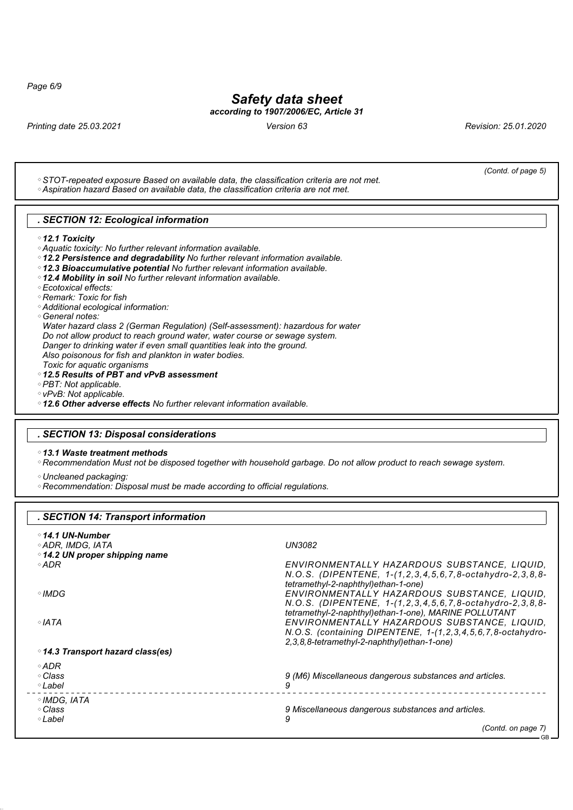*Page 6/9*

## *Safety data sheet*

*according to 1907/2006/EC, Article 31*

*Printing date 25.03.2021 Version 63 Revision: 25.01.2020*

*(Contd. of page 5)*

| . SECTION 12: Ecological information                                                                                                                          |                                                                                                                                                                                                                                                                                                                                     |
|---------------------------------------------------------------------------------------------------------------------------------------------------------------|-------------------------------------------------------------------------------------------------------------------------------------------------------------------------------------------------------------------------------------------------------------------------------------------------------------------------------------|
| $\degree$ 12.1 Toxicity                                                                                                                                       |                                                                                                                                                                                                                                                                                                                                     |
| <i><b>Aquatic toxicity: No further relevant information available.</b></i>                                                                                    |                                                                                                                                                                                                                                                                                                                                     |
| <sup>○</sup> 12.2 Persistence and degradability No further relevant information available.                                                                    |                                                                                                                                                                                                                                                                                                                                     |
| <sup>○</sup> 12.3 Bioaccumulative potential No further relevant information available.                                                                        |                                                                                                                                                                                                                                                                                                                                     |
| ○ 12.4 Mobility in soil No further relevant information available.                                                                                            |                                                                                                                                                                                                                                                                                                                                     |
| ◦ Ecotoxical effects:                                                                                                                                         |                                                                                                                                                                                                                                                                                                                                     |
| ◦ Remark: Toxic for fish                                                                                                                                      |                                                                                                                                                                                                                                                                                                                                     |
| <i><b>Additional ecological information:</b></i>                                                                                                              |                                                                                                                                                                                                                                                                                                                                     |
| ◦General notes:                                                                                                                                               |                                                                                                                                                                                                                                                                                                                                     |
| Water hazard class 2 (German Regulation) (Self-assessment): hazardous for water<br>Do not allow product to reach ground water, water course or sewage system. |                                                                                                                                                                                                                                                                                                                                     |
| Danger to drinking water if even small quantities leak into the ground.                                                                                       |                                                                                                                                                                                                                                                                                                                                     |
| Also poisonous for fish and plankton in water bodies.                                                                                                         |                                                                                                                                                                                                                                                                                                                                     |
| Toxic for aquatic organisms                                                                                                                                   |                                                                                                                                                                                                                                                                                                                                     |
| ○12.5 Results of PBT and vPvB assessment                                                                                                                      |                                                                                                                                                                                                                                                                                                                                     |
| ◇ PBT: Not applicable.                                                                                                                                        |                                                                                                                                                                                                                                                                                                                                     |
| ◇ vPvB: Not applicable.                                                                                                                                       |                                                                                                                                                                                                                                                                                                                                     |
| ○ 12.6 Other adverse effects No further relevant information available.                                                                                       |                                                                                                                                                                                                                                                                                                                                     |
|                                                                                                                                                               |                                                                                                                                                                                                                                                                                                                                     |
| . SECTION 13: Disposal considerations                                                                                                                         |                                                                                                                                                                                                                                                                                                                                     |
|                                                                                                                                                               |                                                                                                                                                                                                                                                                                                                                     |
|                                                                                                                                                               |                                                                                                                                                                                                                                                                                                                                     |
| $\degree$ 13.1 Waste treatment methods                                                                                                                        |                                                                                                                                                                                                                                                                                                                                     |
|                                                                                                                                                               | ◦Recommendation Must not be disposed together with household garbage. Do not allow product to reach sewage system.                                                                                                                                                                                                                  |
| ◇ Uncleaned packaging:                                                                                                                                        |                                                                                                                                                                                                                                                                                                                                     |
| <sup>o</sup> Recommendation: Disposal must be made according to official regulations.                                                                         |                                                                                                                                                                                                                                                                                                                                     |
|                                                                                                                                                               |                                                                                                                                                                                                                                                                                                                                     |
| . SECTION 14: Transport information                                                                                                                           |                                                                                                                                                                                                                                                                                                                                     |
|                                                                                                                                                               |                                                                                                                                                                                                                                                                                                                                     |
| ◦14.1 UN-Number                                                                                                                                               |                                                                                                                                                                                                                                                                                                                                     |
| ◇ ADR, IMDG, IATA                                                                                                                                             | UN3082                                                                                                                                                                                                                                                                                                                              |
| ○ 14.2 UN proper shipping name<br>$\circ$ ADR                                                                                                                 |                                                                                                                                                                                                                                                                                                                                     |
|                                                                                                                                                               |                                                                                                                                                                                                                                                                                                                                     |
|                                                                                                                                                               | tetramethyl-2-naphthyl)ethan-1-one)                                                                                                                                                                                                                                                                                                 |
| ◇IMDG                                                                                                                                                         |                                                                                                                                                                                                                                                                                                                                     |
|                                                                                                                                                               |                                                                                                                                                                                                                                                                                                                                     |
|                                                                                                                                                               | tetramethyl-2-naphthyl)ethan-1-one), MARINE POLLUTANT                                                                                                                                                                                                                                                                               |
| ∘IATA                                                                                                                                                         |                                                                                                                                                                                                                                                                                                                                     |
|                                                                                                                                                               |                                                                                                                                                                                                                                                                                                                                     |
|                                                                                                                                                               | 2,3,8,8-tetramethyl-2-naphthyl)ethan-1-one)                                                                                                                                                                                                                                                                                         |
| ◦ 14.3 Transport hazard class(es)                                                                                                                             |                                                                                                                                                                                                                                                                                                                                     |
| ◇ADR                                                                                                                                                          |                                                                                                                                                                                                                                                                                                                                     |
| ◇ Class                                                                                                                                                       | 9 (M6) Miscellaneous dangerous substances and articles.                                                                                                                                                                                                                                                                             |
| ∘Label                                                                                                                                                        | 9                                                                                                                                                                                                                                                                                                                                   |
| ◇IMDG, IATA                                                                                                                                                   | ENVIRONMENTALLY HAZARDOUS SUBSTANCE, LIQUID,<br>N.O.S. (DIPENTENE, 1-(1,2,3,4,5,6,7,8-octahydro-2,3,8,8-<br>ENVIRONMENTALLY HAZARDOUS SUBSTANCE, LIQUID,<br>N.O.S. (DIPENTENE, 1-(1,2,3,4,5,6,7,8-octahydro-2,3,8,8-<br>ENVIRONMENTALLY HAZARDOUS SUBSTANCE, LIQUID,<br>N.O.S. (containing DIPENTENE, 1-(1,2,3,4,5,6,7,8-octahydro- |
| ◇ Class<br>∘Label                                                                                                                                             | 9 Miscellaneous dangerous substances and articles.                                                                                                                                                                                                                                                                                  |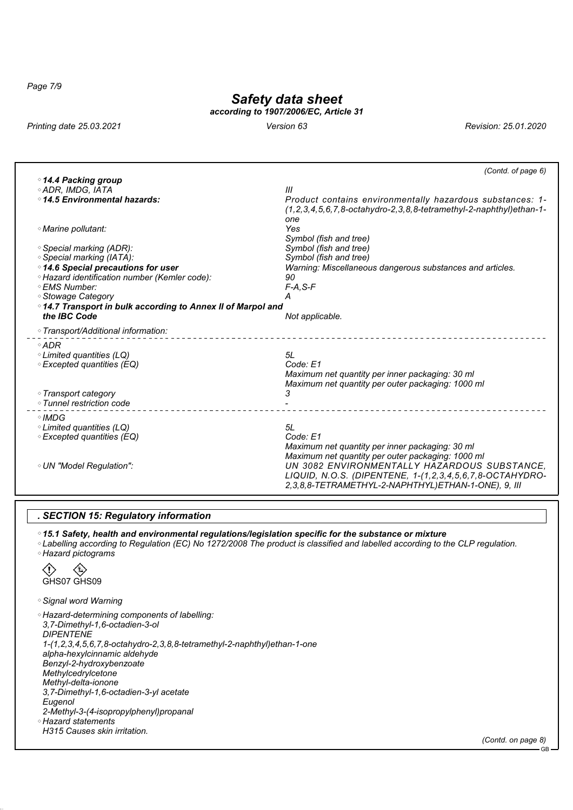*Page 7/9*

# *Safety data sheet*

*according to 1907/2006/EC, Article 31*

*Printing date 25.03.2021 Version 63 Revision: 25.01.2020*

| Ш                                                                                                                                                                                                                                                                       |
|-------------------------------------------------------------------------------------------------------------------------------------------------------------------------------------------------------------------------------------------------------------------------|
| Product contains environmentally hazardous substances: 1-<br>$(1.2.3.4.5.6.7.8-octahydro-2.3.8.8-tetramethyl-2-naphthyllethan-1-$<br>one                                                                                                                                |
| Yes<br>Symbol (fish and tree)                                                                                                                                                                                                                                           |
| Symbol (fish and tree)                                                                                                                                                                                                                                                  |
| Symbol (fish and tree)                                                                                                                                                                                                                                                  |
| Warning: Miscellaneous dangerous substances and articles.                                                                                                                                                                                                               |
| 90                                                                                                                                                                                                                                                                      |
| $F-A, S-F$                                                                                                                                                                                                                                                              |
| Α                                                                                                                                                                                                                                                                       |
| ○14.7 Transport in bulk according to Annex II of Marpol and                                                                                                                                                                                                             |
| Not applicable.                                                                                                                                                                                                                                                         |
|                                                                                                                                                                                                                                                                         |
|                                                                                                                                                                                                                                                                         |
| 5L                                                                                                                                                                                                                                                                      |
| Code: E1                                                                                                                                                                                                                                                                |
| Maximum net quantity per inner packaging: 30 ml                                                                                                                                                                                                                         |
| Maximum net quantity per outer packaging: 1000 ml                                                                                                                                                                                                                       |
| 3                                                                                                                                                                                                                                                                       |
|                                                                                                                                                                                                                                                                         |
|                                                                                                                                                                                                                                                                         |
| 5L                                                                                                                                                                                                                                                                      |
| Code: E1                                                                                                                                                                                                                                                                |
| Maximum net quantity per inner packaging: 30 ml<br>Maximum net quantity per outer packaging: 1000 ml<br>UN 3082 ENVIRONMENTALLY HAZARDOUS SUBSTANCE.<br>LIQUID, N.O.S. (DIPENTENE, 1-(1,2,3,4,5,6,7,8-OCTAHYDRO-<br>2,3,8,8-TETRAMETHYL-2-NAPHTHYL)ETHAN-1-ONE), 9, III |
|                                                                                                                                                                                                                                                                         |

#### *. SECTION 15: Regulatory information*

*15.1 Safety, health and environmental regulations/legislation specific for the substance or mixture*

 *Labelling according to Regulation (EC) No 1272/2008 The product is classified and labelled according to the CLP regulation. Hazard pictograms*

 $\langle \rangle$ ∖€ GHS07 GHS09

*Signal word Warning*

 *Hazard-determining components of labelling: 3,7-Dimethyl-1,6-octadien-3-ol DIPENTENE 1-(1,2,3,4,5,6,7,8-octahydro-2,3,8,8-tetramethyl-2-naphthyl)ethan-1-one alpha-hexylcinnamic aldehyde Benzyl-2-hydroxybenzoate Methylcedrylcetone Methyl-delta-ionone 3,7-Dimethyl-1,6-octadien-3-yl acetate Eugenol 2-Methyl-3-(4-isopropylphenyl)propanal Hazard statements H315 Causes skin irritation.*

*(Contd. on page 8)*

GB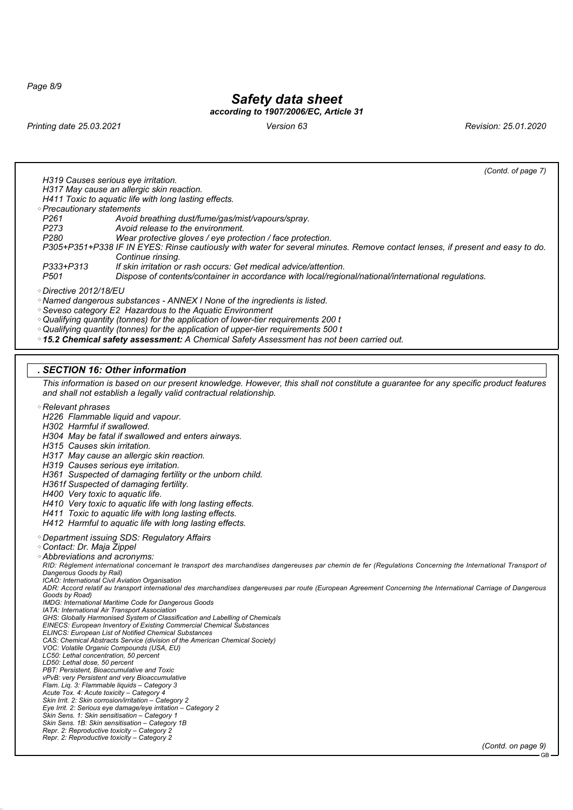*Page 8/9*

## *Safety data sheet*

### *according to 1907/2006/EC, Article 31*

*Printing date 25.03.2021 Version 63 Revision: 25.01.2020*

*(Contd. of page 7)*

*H319 Causes serious eye irritation.*

*H317 May cause an allergic skin reaction.*

*H411 Toxic to aquatic life with long lasting effects.*

*Precautionary statements*

- *P261 Avoid breathing dust/fume/gas/mist/vapours/spray.*
	- *P273 Avoid release to the environment.*
	- *P280 Wear protective gloves / eye protection / face protection.*
- *P305+P351+P338 IF IN EYES: Rinse cautiously with water for several minutes. Remove contact lenses, if present and easy to do. Continue rinsing.*
- *P333+P313 If skin irritation or rash occurs: Get medical advice/attention.*

*Pispose of contents/container in accordance with local/regional/national/international regulations.* 

*Directive 2012/18/EU*

*Named dangerous substances - ANNEX I None of the ingredients is listed.*

*Seveso category E2 Hazardous to the Aquatic Environment*

*Qualifying quantity (tonnes) for the application of lower-tier requirements 200 t*

*Qualifying quantity (tonnes) for the application of upper-tier requirements 500 t*

*15.2 Chemical safety assessment: A Chemical Safety Assessment has not been carried out.*

#### *. SECTION 16: Other information*

*This information is based on our present knowledge. However, this shall not constitute a guarantee for any specific product features and shall not establish a legally valid contractual relationship.*

*Relevant phrases*

*H226 Flammable liquid and vapour.*

*H302 Harmful if swallowed.*

- *H304 May be fatal if swallowed and enters airways.*
- *H315 Causes skin irritation.*
- *H317 May cause an allergic skin reaction.*

*H319 Causes serious eye irritation.*

*H361 Suspected of damaging fertility or the unborn child.*

*H361f Suspected of damaging fertility.*

- *H400 Very toxic to aquatic life.*
- *H410 Very toxic to aquatic life with long lasting effects.*

*H411 Toxic to aquatic life with long lasting effects.*

*H412 Harmful to aquatic life with long lasting effects.*

*Department issuing SDS: Regulatory Affairs*

- *Contact: Dr. Maja Zippel*
- *Abbreviations and acronyms:*

*RID: Règlement international concernant le transport des marchandises dangereuses par chemin de fer (Regulations Concerning the International Transport of Dangerous Goods by Rail)*

*ICAO: International Civil Aviation Organisation*

*ADR: Accord relatif au transport international des marchandises dangereuses par route (European Agreement Concerning the International Carriage of Dangerous Goods by Road) IMDG: International Maritime Code for Dangerous Goods*

*IATA: International Air Transport Association*

*GHS: Globally Harmonised System of Classification and Labelling of Chemicals*

*EINECS: European Inventory of Existing Commercial Chemical Substances ELINCS: European List of Notified Chemical Substances*

*CAS: Chemical Abstracts Service (division of the American Chemical Society)*

*VOC: Volatile Organic Compounds (USA, EU)*

- *LC50: Lethal concentration, 50 percent*
- *LD50: Lethal dose, 50 percent*

*PBT: Persistent, Bioaccumulative and Toxic*

*vPvB: very Persistent and very Bioaccumulative*

*Flam. Liq. 3: Flammable liquids – Category 3*

*Acute Tox. 4: Acute toxicity – Category 4 Skin Irrit. 2: Skin corrosion/irritation – Category 2*

*Eye Irrit. 2: Serious eye damage/eye irritation – Category 2*

*Skin Sens. 1: Skin sensitisation – Category 1*

*Skin Sens. 1B: Skin sensitisation – Category 1B*

*Repr. 2: Reproductive toxicity – Category 2 Repr. 2: Reproductive toxicity – Category 2*

*(Contd. on page 9)*

GB